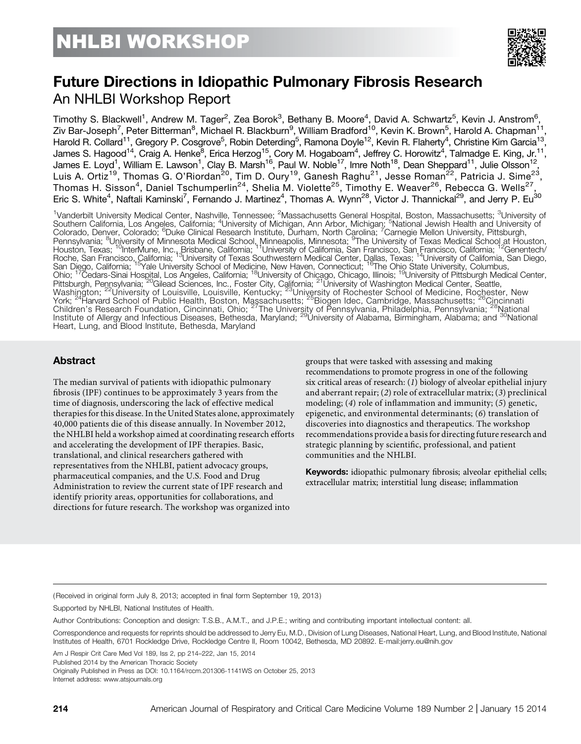

# Future Directions in Idiopathic Pulmonary Fibrosis Research An NHLBI Workshop Report

Timothy S. Blackwell<sup>1</sup>, Andrew M. Tager<sup>2</sup>, Zea Borok<sup>3</sup>, Bethany B. Moore<sup>4</sup>, David A. Schwartz<sup>5</sup>, Kevin J. Anstrom<sup>6</sup> , Ziv Bar-Joseph<sup>7</sup>, Peter Bitterman<sup>8</sup>, Michael R. Blackburn<sup>9</sup>, William Bradford<sup>10</sup>, Kevin K. Brown<sup>5</sup>, Harold A. Chapman<sup>11</sup>, Harold R. Collard<sup>11</sup>, Gregory P. Cosgrove<sup>5</sup>, Robin Deterding<sup>5</sup>, Ramona Doyle<sup>12</sup>, Kevin R. Flaherty<sup>4</sup>, Christine Kim Garcia<sup>13</sup>, James S. Hagood<sup>14</sup>, Craig A. Henke<sup>8</sup>, Erica Herzog<sup>15</sup>, Cory M. Hogaboam<sup>4</sup>, Jeffrey C. Horowitz<sup>4</sup>, Talmadge E. King, Jr.<sup>11</sup>, James E. Loyd<sup>1</sup>, William E. Lawson<sup>1</sup>, Clay B. Marsh<sup>16</sup>, Paul W. Noble<sup>17</sup>, Imre Noth<sup>18</sup>, Dean Sheppard<sup>11</sup>, Julie Olsson<sup>12</sup>, Luis A. Ortiz<sup>19</sup>, Thomas G. O'Riordan<sup>20</sup>, Tim D. Oury<sup>19</sup>, Ganesh Raghu<sup>21</sup>, Jesse Roman<sup>22</sup>, Patricia J. Sime<sup>23</sup>, Thomas H. Sisson<sup>4</sup>, Daniel Tschumperlin<sup>24</sup>, Shelia M. Violette<sup>25</sup>, Timothy E. Weaver<sup>26</sup>, Rebecca G. Wells<sup>27</sup>, Eric S. White<sup>4</sup>, Naftali Kaminski<sup>7</sup>, Fernando J. Martinez<sup>4</sup>, Thomas A. Wynn<sup>28</sup>, Victor J. Thannickal<sup>29</sup>, and Jerry P. Eu<sup>30</sup>

<sup>1</sup>Vanderbilt University Medical Center, Nashville, Tennessee; <sup>2</sup>Massachusetts General Hospital, Boston, Massachusetts; <sup>3</sup> <sup>1</sup>Vanderbilt University Medical Center, Nashville, Tennessee; <sup>2</sup>Massachusetts General Hospital, Boston, Massachusetts; <sup>3</sup>University of<br>Southern California, Los Angeles, California; <sup>4</sup>University of Michigan, Ann Arbor, Roche, San Francisco, California; 13University of Texas Southwestern Medical Center, Dallas, Texas; 14University of California, San Diego, San Diego, California; 15Yale University School of Medicine, New Haven, Connecticut; 16The Ohio State University, Columbus, Ohio; 17Cedars-Sinai Hospital, Los Angeles, California; 18University of Chicago, Chicago, Illinois; 19University of Pittsburgh Medical Center, Pittsburgh, Pennsylvania; 20Gilead Sciences, Inc., Foster City, California; 21University of Washington Medical Center, Seattle, Washington; 22University of Louisville, Louisville, Kentucky; 23University of Rochester School of Medicine, Rochester, New York; <sup>24</sup>Harvard School of Public Health, Boston, Massachusetts; <sup>25</sup>Biogen Idec, Cambridge, Massachusetts; <sup>26</sup>Cincinnati Children's Research Foundation, Cincinnati, Ohio; 27The University of Pennsylvania, Philadelphia, Pennsylvania; 28National Institute of Allergy and Infectious Diseases, Bethesda, Maryland; <sup>29</sup>University of Alabama, Birmingham, Alabama; and <sup>30</sup>National Heart, Lung, and Blood Institute, Bethesda, Maryland

# Abstract

The median survival of patients with idiopathic pulmonary fibrosis (IPF) continues to be approximately 3 years from the time of diagnosis, underscoring the lack of effective medical therapies for this disease. In the United States alone, approximately 40,000 patients die of this disease annually. In November 2012, the NHLBI held a workshop aimed at coordinating research efforts and accelerating the development of IPF therapies. Basic, translational, and clinical researchers gathered with representatives from the NHLBI, patient advocacy groups, pharmaceutical companies, and the U.S. Food and Drug Administration to review the current state of IPF research and identify priority areas, opportunities for collaborations, and directions for future research. The workshop was organized into

groups that were tasked with assessing and making recommendations to promote progress in one of the following six critical areas of research: (1) biology of alveolar epithelial injury and aberrant repair; (2) role of extracellular matrix; (3) preclinical modeling; (4) role of inflammation and immunity; (5) genetic, epigenetic, and environmental determinants; (6) translation of discoveries into diagnostics and therapeutics. The workshop recommendations provide a basis for directing future research and strategic planning by scientific, professional, and patient communities and the NHLBI.

Keywords: idiopathic pulmonary fibrosis; alveolar epithelial cells; extracellular matrix; interstitial lung disease; inflammation

(Received in original form July 8, 2013; accepted in final form September 19, 2013 )

Supported by NHLBI, National Institutes of Health.

Author Contributions: Conception and design: T.S.B., A.M.T., and J.P.E.; writing and contributing important intellectual content: all.

Correspondence and requests for reprints should be addressed to Jerry Eu, M.D., Division of Lung Diseases, National Heart, Lung, and Blood Institute, National Institutes of Health, 6701 Rockledge Drive, Rockledge Centre II, Room 10042, Bethesda, MD 20892. E-mail[:jerry.eu@nih.gov](mailto:jerry.eu@nih.gov)

Am J Respir Crit Care Med Vol 189, Iss 2, pp 214–222, Jan 15, 2014

Published 2014 by the American Thoracic Society

Originally Published in Press as DOI: [10.1164/rccm.201306-1141WS](http://dx.doi.org/10.1164/rccm.201306-1141WS) on October 25, 2013

Internet address: [www.atsjournals.org](http://www.atsjournals.org)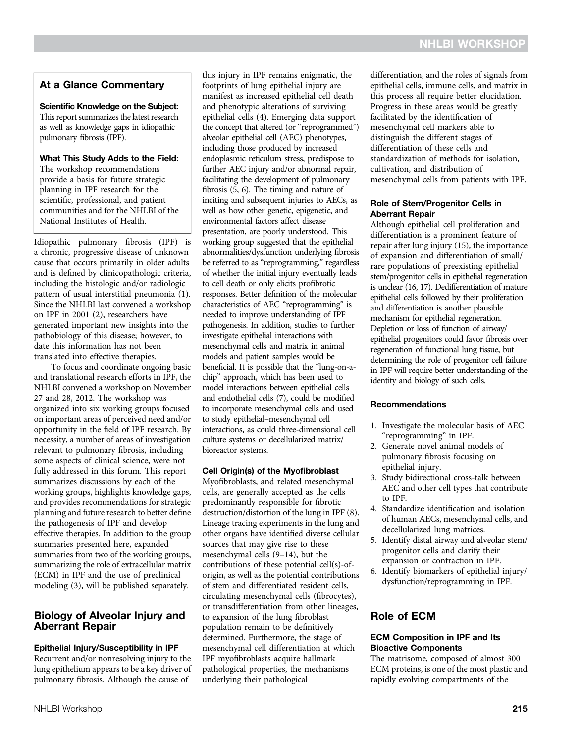# At a Glance Commentary

Scientific Knowledge on the Subject: This report summarizes the latest research as well as knowledge gaps in idiopathic pulmonary fibrosis (IPF).

What This Study Adds to the Field: The workshop recommendations provide a basis for future strategic planning in IPF research for the scientific, professional, and patient communities and for the NHLBI of the National Institutes of Health.

Idiopathic pulmonary fibrosis (IPF) is a chronic, progressive disease of unknown cause that occurs primarily in older adults and is defined by clinicopathologic criteria, including the histologic and/or radiologic pattern of usual interstitial pneumonia (1). Since the NHLBI last convened a workshop on IPF in 2001 (2), researchers have generated important new insights into the pathobiology of this disease; however, to date this information has not been translated into effective therapies.

To focus and coordinate ongoing basic and translational research efforts in IPF, the NHLBI convened a workshop on November 27 and 28, 2012. The workshop was organized into six working groups focused on important areas of perceived need and/or opportunity in the field of IPF research. By necessity, a number of areas of investigation relevant to pulmonary fibrosis, including some aspects of clinical science, were not fully addressed in this forum. This report summarizes discussions by each of the working groups, highlights knowledge gaps, and provides recommendations for strategic planning and future research to better define the pathogenesis of IPF and develop effective therapies. In addition to the group summaries presented here, expanded summaries from two of the working groups, summarizing the role of extracellular matrix (ECM) in IPF and the use of preclinical modeling (3), will be published separately.

# Biology of Alveolar Injury and Aberrant Repair

# Epithelial Injury/Susceptibility in IPF

Recurrent and/or nonresolving injury to the lung epithelium appears to be a key driver of pulmonary fibrosis. Although the cause of

this injury in IPF remains enigmatic, the footprints of lung epithelial injury are manifest as increased epithelial cell death and phenotypic alterations of surviving epithelial cells (4). Emerging data support the concept that altered (or "reprogrammed") alveolar epithelial cell (AEC) phenotypes, including those produced by increased endoplasmic reticulum stress, predispose to further AEC injury and/or abnormal repair, facilitating the development of pulmonary fibrosis (5, 6). The timing and nature of inciting and subsequent injuries to AECs, as well as how other genetic, epigenetic, and environmental factors affect disease presentation, are poorly understood. This working group suggested that the epithelial abnormalities/dysfunction underlying fibrosis be referred to as "reprogramming," regardless of whether the initial injury eventually leads to cell death or only elicits profibrotic responses. Better definition of the molecular characteristics of AEC "reprogramming" is needed to improve understanding of IPF pathogenesis. In addition, studies to further investigate epithelial interactions with mesenchymal cells and matrix in animal models and patient samples would be beneficial. It is possible that the "lung-on-achip" approach, which has been used to model interactions between epithelial cells and endothelial cells (7), could be modified to incorporate mesenchymal cells and used to study epithelial–mesenchymal cell interactions, as could three-dimensional cell culture systems or decellularized matrix/ bioreactor systems.

# Cell Origin(s) of the Myofibroblast

Myofibroblasts, and related mesenchymal cells, are generally accepted as the cells predominantly responsible for fibrotic destruction/distortion of the lung in IPF (8). Lineage tracing experiments in the lung and other organs have identified diverse cellular sources that may give rise to these mesenchymal cells (9–14), but the contributions of these potential cell(s)-oforigin, as well as the potential contributions of stem and differentiated resident cells, circulating mesenchymal cells (fibrocytes), or transdifferentiation from other lineages, to expansion of the lung fibroblast population remain to be definitively determined. Furthermore, the stage of mesenchymal cell differentiation at which IPF myofibroblasts acquire hallmark pathological properties, the mechanisms underlying their pathological

differentiation, and the roles of signals from epithelial cells, immune cells, and matrix in this process all require better elucidation. Progress in these areas would be greatly facilitated by the identification of mesenchymal cell markers able to distinguish the different stages of differentiation of these cells and standardization of methods for isolation, cultivation, and distribution of mesenchymal cells from patients with IPF.

### Role of Stem/Progenitor Cells in Aberrant Repair

Although epithelial cell proliferation and differentiation is a prominent feature of repair after lung injury (15), the importance of expansion and differentiation of small/ rare populations of preexisting epithelial stem/progenitor cells in epithelial regeneration is unclear (16, 17). Dedifferentiation of mature epithelial cells followed by their proliferation and differentiation is another plausible mechanism for epithelial regeneration. Depletion or loss of function of airway/ epithelial progenitors could favor fibrosis over regeneration of functional lung tissue, but determining the role of progenitor cell failure in IPF will require better understanding of the identity and biology of such cells.

# Recommendations

- 1. Investigate the molecular basis of AEC "reprogramming" in IPF.
- 2. Generate novel animal models of pulmonary fibrosis focusing on epithelial injury.
- 3. Study bidirectional cross-talk between AEC and other cell types that contribute to IPF.
- 4. Standardize identification and isolation of human AECs, mesenchymal cells, and decellularized lung matrices.
- 5. Identify distal airway and alveolar stem/ progenitor cells and clarify their expansion or contraction in IPF.
- 6. Identify biomarkers of epithelial injury/ dysfunction/reprogramming in IPF.

# Role of ECM

# ECM Composition in IPF and Its Bioactive Components

The matrisome, composed of almost 300 ECM proteins, is one of the most plastic and rapidly evolving compartments of the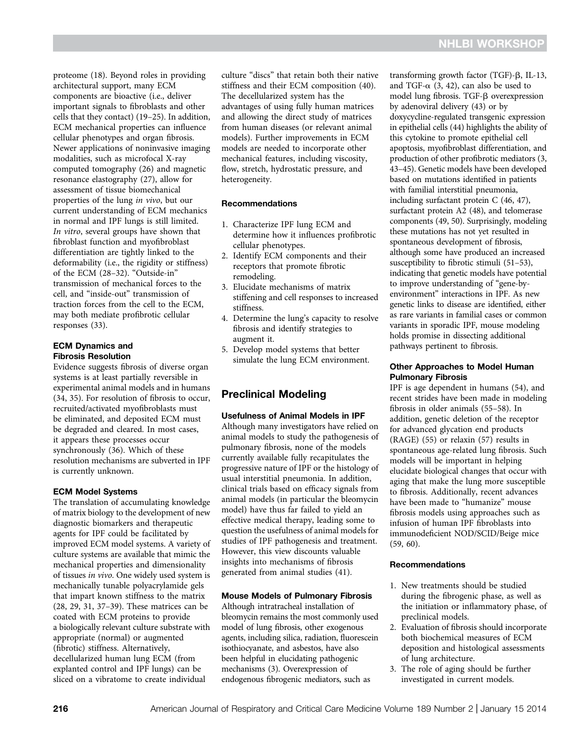proteome (18). Beyond roles in providing architectural support, many ECM components are bioactive (i.e., deliver important signals to fibroblasts and other cells that they contact) (19–25). In addition, ECM mechanical properties can influence cellular phenotypes and organ fibrosis. Newer applications of noninvasive imaging modalities, such as microfocal X-ray computed tomography (26) and magnetic resonance elastography (27), allow for assessment of tissue biomechanical properties of the lung in vivo, but our current understanding of ECM mechanics in normal and IPF lungs is still limited. In vitro, several groups have shown that fibroblast function and myofibroblast differentiation are tightly linked to the deformability (i.e., the rigidity or stiffness) of the ECM (28–32). "Outside-in" transmission of mechanical forces to the cell, and "inside-out" transmission of traction forces from the cell to the ECM, may both mediate profibrotic cellular responses (33).

### ECM Dynamics and Fibrosis Resolution

Evidence suggests fibrosis of diverse organ systems is at least partially reversible in experimental animal models and in humans (34, 35). For resolution of fibrosis to occur, recruited/activated myofibroblasts must be eliminated, and deposited ECM must be degraded and cleared. In most cases, it appears these processes occur synchronously (36). Which of these resolution mechanisms are subverted in IPF is currently unknown.

# ECM Model Systems

The translation of accumulating knowledge of matrix biology to the development of new diagnostic biomarkers and therapeutic agents for IPF could be facilitated by improved ECM model systems. A variety of culture systems are available that mimic the mechanical properties and dimensionality of tissues in vivo. One widely used system is mechanically tunable polyacrylamide gels that impart known stiffness to the matrix (28, 29, 31, 37–39). These matrices can be coated with ECM proteins to provide a biologically relevant culture substrate with appropriate (normal) or augmented (fibrotic) stiffness. Alternatively, decellularized human lung ECM (from explanted control and IPF lungs) can be sliced on a vibratome to create individual

culture "discs" that retain both their native stiffness and their ECM composition (40). The decellularized system has the advantages of using fully human matrices and allowing the direct study of matrices from human diseases (or relevant animal models). Further improvements in ECM models are needed to incorporate other mechanical features, including viscosity, flow, stretch, hydrostatic pressure, and heterogeneity.

### Recommendations

- 1. Characterize IPF lung ECM and determine how it influences profibrotic cellular phenotypes.
- 2. Identify ECM components and their receptors that promote fibrotic remodeling.
- 3. Elucidate mechanisms of matrix stiffening and cell responses to increased stiffness.
- 4. Determine the lung's capacity to resolve fibrosis and identify strategies to augment it.
- 5. Develop model systems that better simulate the lung ECM environment.

# Preclinical Modeling

Usefulness of Animal Models in IPF

Although many investigators have relied on animal models to study the pathogenesis of pulmonary fibrosis, none of the models currently available fully recapitulates the progressive nature of IPF or the histology of usual interstitial pneumonia. In addition, clinical trials based on efficacy signals from animal models (in particular the bleomycin model) have thus far failed to yield an effective medical therapy, leading some to question the usefulness of animal models for studies of IPF pathogenesis and treatment. However, this view discounts valuable insights into mechanisms of fibrosis generated from animal studies (41).

# Mouse Models of Pulmonary Fibrosis

Although intratracheal installation of bleomycin remains the most commonly used model of lung fibrosis, other exogenous agents, including silica, radiation, fluorescein isothiocyanate, and asbestos, have also been helpful in elucidating pathogenic mechanisms (3). Overexpression of endogenous fibrogenic mediators, such as

transforming growth factor (TGF)- $\beta$ , IL-13, and TGF- $\alpha$  (3, 42), can also be used to model lung fibrosis. TGF- $\beta$  overexpression by adenoviral delivery (43) or by doxycycline-regulated transgenic expression in epithelial cells (44) highlights the ability of this cytokine to promote epithelial cell apoptosis, myofibroblast differentiation, and production of other profibrotic mediators (3, 43–45). Genetic models have been developed based on mutations identified in patients with familial interstitial pneumonia, including surfactant protein C (46, 47), surfactant protein A2 (48), and telomerase components (49, 50). Surprisingly, modeling these mutations has not yet resulted in spontaneous development of fibrosis, although some have produced an increased susceptibility to fibrotic stimuli (51–53), indicating that genetic models have potential to improve understanding of "gene-byenvironment" interactions in IPF. As new genetic links to disease are identified, either as rare variants in familial cases or common variants in sporadic IPF, mouse modeling holds promise in dissecting additional pathways pertinent to fibrosis.

# Other Approaches to Model Human Pulmonary Fibrosis

IPF is age dependent in humans (54), and recent strides have been made in modeling fibrosis in older animals (55–58). In addition, genetic deletion of the receptor for advanced glycation end products (RAGE) (55) or relaxin (57) results in spontaneous age-related lung fibrosis. Such models will be important in helping elucidate biological changes that occur with aging that make the lung more susceptible to fibrosis. Additionally, recent advances have been made to "humanize" mouse fibrosis models using approaches such as infusion of human IPF fibroblasts into immunodeficient NOD/SCID/Beige mice (59, 60).

# Recommendations

- 1. New treatments should be studied during the fibrogenic phase, as well as the initiation or inflammatory phase, of preclinical models.
- 2. Evaluation of fibrosis should incorporate both biochemical measures of ECM deposition and histological assessments of lung architecture.
- 3. The role of aging should be further investigated in current models.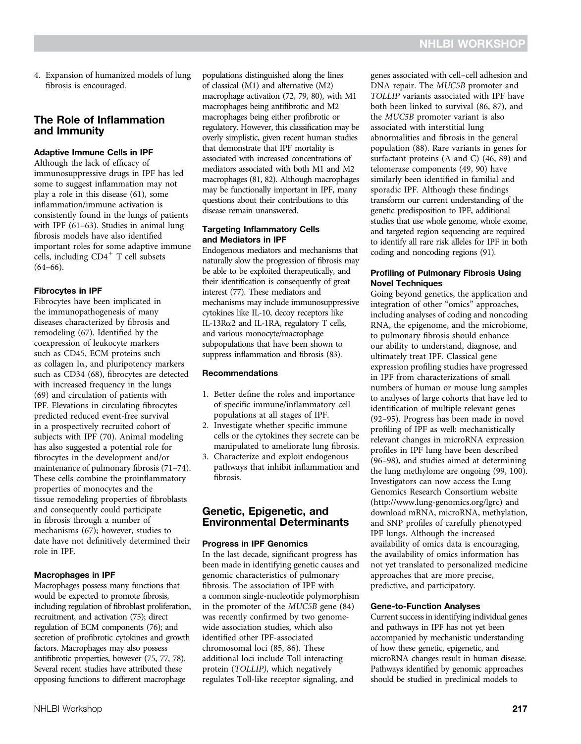4. Expansion of humanized models of lung fibrosis is encouraged.

# The Role of Inflammation and Immunity

# Adaptive Immune Cells in IPF

Although the lack of efficacy of immunosuppressive drugs in IPF has led some to suggest inflammation may not play a role in this disease (61), some inflammation/immune activation is consistently found in the lungs of patients with IPF (61–63). Studies in animal lung fibrosis models have also identified important roles for some adaptive immune cells, including  $CD4^+$  T cell subsets  $(64–66)$ .

#### Fibrocytes in IPF

Fibrocytes have been implicated in the immunopathogenesis of many diseases characterized by fibrosis and remodeling (67). Identified by the coexpression of leukocyte markers such as CD45, ECM proteins such as collagen I $\alpha$ , and pluripotency markers such as CD34 (68), fibrocytes are detected with increased frequency in the lungs (69) and circulation of patients with IPF. Elevations in circulating fibrocytes predicted reduced event-free survival in a prospectively recruited cohort of subjects with IPF (70). Animal modeling has also suggested a potential role for fibrocytes in the development and/or maintenance of pulmonary fibrosis (71–74). These cells combine the proinflammatory properties of monocytes and the tissue remodeling properties of fibroblasts and consequently could participate in fibrosis through a number of mechanisms (67); however, studies to date have not definitively determined their role in IPF.

#### Macrophages in IPF

Macrophages possess many functions that would be expected to promote fibrosis, including regulation of fibroblast proliferation, recruitment, and activation (75); direct regulation of ECM components (76); and secretion of profibrotic cytokines and growth factors. Macrophages may also possess antifibrotic properties, however (75, 77, 78). Several recent studies have attributed these opposing functions to different macrophage

populations distinguished along the lines of classical (M1) and alternative (M2) macrophage activation (72, 79, 80), with M1 macrophages being antifibrotic and M2 macrophages being either profibrotic or regulatory. However, this classification may be overly simplistic, given recent human studies that demonstrate that IPF mortality is associated with increased concentrations of mediators associated with both M1 and M2 macrophages (81, 82). Although macrophages may be functionally important in IPF, many questions about their contributions to this disease remain unanswered.

#### Targeting Inflammatory Cells and Mediators in IPF

Endogenous mediators and mechanisms that naturally slow the progression of fibrosis may be able to be exploited therapeutically, and their identification is consequently of great interest (77). These mediators and mechanisms may include immunosuppressive cytokines like IL-10, decoy receptors like IL-13Ra2 and IL-1RA, regulatory T cells, and various monocyte/macrophage subpopulations that have been shown to suppress inflammation and fibrosis (83).

#### Recommendations

- 1. Better define the roles and importance of specific immune/inflammatory cell populations at all stages of IPF.
- 2. Investigate whether specific immune cells or the cytokines they secrete can be manipulated to ameliorate lung fibrosis.
- 3. Characterize and exploit endogenous pathways that inhibit inflammation and fibrosis.

# Genetic, Epigenetic, and Environmental Determinants

#### Progress in IPF Genomics

In the last decade, significant progress has been made in identifying genetic causes and genomic characteristics of pulmonary fibrosis. The association of IPF with a common single-nucleotide polymorphism in the promoter of the MUC5B gene (84) was recently confirmed by two genomewide association studies, which also identified other IPF-associated chromosomal loci (85, 86). These additional loci include Toll interacting protein (TOLLIP), which negatively regulates Toll-like receptor signaling, and

genes associated with cell–cell adhesion and DNA repair. The MUC5B promoter and TOLLIP variants associated with IPF have both been linked to survival (86, 87), and the MUC5B promoter variant is also associated with interstitial lung abnormalities and fibrosis in the general population (88). Rare variants in genes for surfactant proteins (A and C) (46, 89) and telomerase components (49, 90) have similarly been identified in familial and sporadic IPF. Although these findings transform our current understanding of the genetic predisposition to IPF, additional studies that use whole genome, whole exome, and targeted region sequencing are required to identify all rare risk alleles for IPF in both coding and noncoding regions (91).

### Profiling of Pulmonary Fibrosis Using **Novel Techniques**

Going beyond genetics, the application and integration of other "omics" approaches, including analyses of coding and noncoding RNA, the epigenome, and the microbiome, to pulmonary fibrosis should enhance our ability to understand, diagnose, and ultimately treat IPF. Classical gene expression profiling studies have progressed in IPF from characterizations of small numbers of human or mouse lung samples to analyses of large cohorts that have led to identification of multiple relevant genes (92–95). Progress has been made in novel profiling of IPF as well: mechanistically relevant changes in microRNA expression profiles in IPF lung have been described (96–98), and studies aimed at determining the lung methylome are ongoing (99, 100). Investigators can now access the Lung Genomics Research Consortium website (<http://www.lung-genomics.org/lgrc>) and download mRNA, microRNA, methylation, and SNP profiles of carefully phenotyped IPF lungs. Although the increased availability of omics data is encouraging, the availability of omics information has not yet translated to personalized medicine approaches that are more precise, predictive, and participatory.

#### Gene-to-Function Analyses

Current success in identifying individual genes and pathways in IPF has not yet been accompanied by mechanistic understanding of how these genetic, epigenetic, and microRNA changes result in human disease. Pathways identified by genomic approaches should be studied in preclinical models to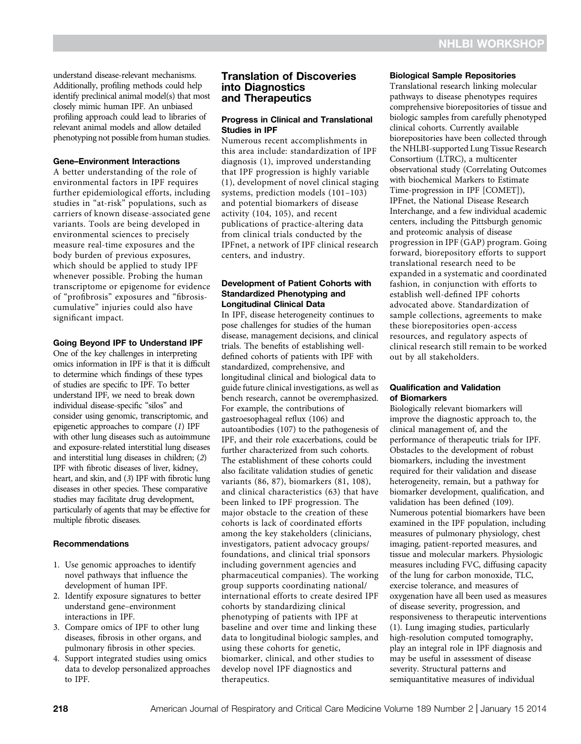understand disease-relevant mechanisms. Additionally, profiling methods could help identify preclinical animal model(s) that most closely mimic human IPF. An unbiased profiling approach could lead to libraries of relevant animal models and allow detailed phenotyping not possible from human studies.

### Gene–Environment Interactions

A better understanding of the role of environmental factors in IPF requires further epidemiological efforts, including studies in "at-risk" populations, such as carriers of known disease-associated gene variants. Tools are being developed in environmental sciences to precisely measure real-time exposures and the body burden of previous exposures, which should be applied to study IPF whenever possible. Probing the human transcriptome or epigenome for evidence of "profibrosis" exposures and "fibrosiscumulative" injuries could also have significant impact.

# Going Beyond IPF to Understand IPF

One of the key challenges in interpreting omics information in IPF is that it is difficult to determine which findings of these types of studies are specific to IPF. To better understand IPF, we need to break down individual disease-specific "silos" and consider using genomic, transcriptomic, and epigenetic approaches to compare (1) IPF with other lung diseases such as autoimmune and exposure-related interstitial lung diseases and interstitial lung diseases in children; (2) IPF with fibrotic diseases of liver, kidney, heart, and skin, and (3) IPF with fibrotic lung diseases in other species. These comparative studies may facilitate drug development, particularly of agents that may be effective for multiple fibrotic diseases.

#### Recommendations

- 1. Use genomic approaches to identify novel pathways that influence the development of human IPF.
- 2. Identify exposure signatures to better understand gene–environment interactions in IPF.
- 3. Compare omics of IPF to other lung diseases, fibrosis in other organs, and pulmonary fibrosis in other species.
- 4. Support integrated studies using omics data to develop personalized approaches to IPF.

### Translation of Discoveries into Diagnostics and Therapeutics

#### Progress in Clinical and Translational Studies in IPF

Numerous recent accomplishments in this area include: standardization of IPF diagnosis (1), improved understanding that IPF progression is highly variable (1), development of novel clinical staging systems, prediction models (101–103) and potential biomarkers of disease activity (104, 105), and recent publications of practice-altering data from clinical trials conducted by the IPFnet, a network of IPF clinical research centers, and industry.

#### Development of Patient Cohorts with Standardized Phenotyping and Longitudinal Clinical Data

In IPF, disease heterogeneity continues to pose challenges for studies of the human disease, management decisions, and clinical trials. The benefits of establishing welldefined cohorts of patients with IPF with standardized, comprehensive, and longitudinal clinical and biological data to guide future clinical investigations, as well as bench research, cannot be overemphasized. For example, the contributions of gastroesophageal reflux (106) and autoantibodies (107) to the pathogenesis of IPF, and their role exacerbations, could be further characterized from such cohorts. The establishment of these cohorts could also facilitate validation studies of genetic variants (86, 87), biomarkers (81, 108), and clinical characteristics (63) that have been linked to IPF progression. The major obstacle to the creation of these cohorts is lack of coordinated efforts among the key stakeholders (clinicians, investigators, patient advocacy groups/ foundations, and clinical trial sponsors including government agencies and pharmaceutical companies). The working group supports coordinating national/ international efforts to create desired IPF cohorts by standardizing clinical phenotyping of patients with IPF at baseline and over time and linking these data to longitudinal biologic samples, and using these cohorts for genetic, biomarker, clinical, and other studies to develop novel IPF diagnostics and therapeutics.

#### Biological Sample Repositories

Translational research linking molecular pathways to disease phenotypes requires comprehensive biorepositories of tissue and biologic samples from carefully phenotyped clinical cohorts. Currently available biorepositories have been collected through the NHLBI-supported Lung Tissue Research Consortium (LTRC), a multicenter observational study (Correlating Outcomes with biochemical Markers to Estimate Time-progression in IPF [COMET]), IPFnet, the National Disease Research Interchange, and a few individual academic centers, including the Pittsburgh genomic and proteomic analysis of disease progression in IPF (GAP) program. Going forward, biorepository efforts to support translational research need to be expanded in a systematic and coordinated fashion, in conjunction with efforts to establish well-defined IPF cohorts advocated above. Standardization of sample collections, agreements to make these biorepositories open-access resources, and regulatory aspects of clinical research still remain to be worked out by all stakeholders.

#### Qualification and Validation of Biomarkers

Biologically relevant biomarkers will improve the diagnostic approach to, the clinical management of, and the performance of therapeutic trials for IPF. Obstacles to the development of robust biomarkers, including the investment required for their validation and disease heterogeneity, remain, but a pathway for biomarker development, qualification, and validation has been defined (109). Numerous potential biomarkers have been examined in the IPF population, including measures of pulmonary physiology, chest imaging, patient-reported measures, and tissue and molecular markers. Physiologic measures including FVC, diffusing capacity of the lung for carbon monoxide, TLC, exercise tolerance, and measures of oxygenation have all been used as measures of disease severity, progression, and responsiveness to therapeutic interventions (1). Lung imaging studies, particularly high-resolution computed tomography, play an integral role in IPF diagnosis and may be useful in assessment of disease severity. Structural patterns and semiquantitative measures of individual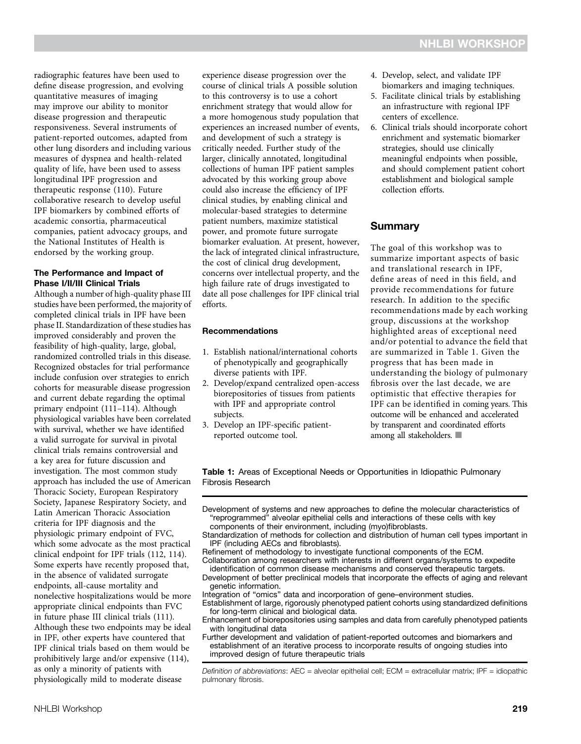radiographic features have been used to define disease progression, and evolving quantitative measures of imaging may improve our ability to monitor disease progression and therapeutic responsiveness. Several instruments of patient-reported outcomes, adapted from other lung disorders and including various measures of dyspnea and health-related quality of life, have been used to assess longitudinal IPF progression and therapeutic response (110). Future collaborative research to develop useful IPF biomarkers by combined efforts of academic consortia, pharmaceutical companies, patient advocacy groups, and the National Institutes of Health is endorsed by the working group.

#### The Performance and Impact of Phase I/II/III Clinical Trials

Although a number of high-quality phase III studies have been performed, the majority of completed clinical trials in IPF have been phase II. Standardization of these studies has improved considerably and proven the feasibility of high-quality, large, global, randomized controlled trials in this disease. Recognized obstacles for trial performance include confusion over strategies to enrich cohorts for measurable disease progression and current debate regarding the optimal primary endpoint (111–114). Although physiological variables have been correlated with survival, whether we have identified a valid surrogate for survival in pivotal clinical trials remains controversial and a key area for future discussion and investigation. The most common study approach has included the use of American Thoracic Society, European Respiratory Society, Japanese Respiratory Society, and Latin American Thoracic Association criteria for IPF diagnosis and the physiologic primary endpoint of FVC, which some advocate as the most practical clinical endpoint for IPF trials (112, 114). Some experts have recently proposed that, in the absence of validated surrogate endpoints, all-cause mortality and nonelective hospitalizations would be more appropriate clinical endpoints than FVC in future phase III clinical trials (111). Although these two endpoints may be ideal in IPF, other experts have countered that IPF clinical trials based on them would be prohibitively large and/or expensive (114), as only a minority of patients with physiologically mild to moderate disease

experience disease progression over the course of clinical trials A possible solution to this controversy is to use a cohort enrichment strategy that would allow for a more homogenous study population that experiences an increased number of events, and development of such a strategy is critically needed. Further study of the larger, clinically annotated, longitudinal collections of human IPF patient samples advocated by this working group above could also increase the efficiency of IPF clinical studies, by enabling clinical and molecular-based strategies to determine patient numbers, maximize statistical power, and promote future surrogate biomarker evaluation. At present, however, the lack of integrated clinical infrastructure, the cost of clinical drug development, concerns over intellectual property, and the high failure rate of drugs investigated to date all pose challenges for IPF clinical trial efforts.

### Recommendations

- 1. Establish national/international cohorts of phenotypically and geographically diverse patients with IPF.
- 2. Develop/expand centralized open-access biorepositories of tissues from patients with IPF and appropriate control subjects.
- 3. Develop an IPF-specific patientreported outcome tool.
- 4. Develop, select, and validate IPF biomarkers and imaging techniques.
- 5. Facilitate clinical trials by establishing an infrastructure with regional IPF centers of excellence.
- 6. Clinical trials should incorporate cohort enrichment and systematic biomarker strategies, should use clinically meaningful endpoints when possible, and should complement patient cohort establishment and biological sample collection efforts.

# **Summary**

The goal of this workshop was to summarize important aspects of basic and translational research in IPF, define areas of need in this field, and provide recommendations for future research. In addition to the specific recommendations made by each working group, discussions at the workshop highlighted areas of exceptional need and/or potential to advance the field that are summarized in Table 1. Given the progress that has been made in understanding the biology of pulmonary fibrosis over the last decade, we are optimistic that effective therapies for IPF can be identified in coming years. This outcome will be enhanced and accelerated by transparent and coordinated efforts among all stakeholders.  $\blacksquare$ 

Table 1: Areas of Exceptional Needs or Opportunities in Idiopathic Pulmonary Fibrosis Research

Development of systems and new approaches to define the molecular characteristics of "reprogrammed" alveolar epithelial cells and interactions of these cells with key components of their environment, including (myo)fibroblasts.

- Refinement of methodology to investigate functional components of the ECM.
- Collaboration among researchers with interests in different organs/systems to expedite identification of common disease mechanisms and conserved therapeutic targets.
- Development of better preclinical models that incorporate the effects of aging and relevant genetic information.
- Integration of "omics" data and incorporation of gene–environment studies.
- Establishment of large, rigorously phenotyped patient cohorts using standardized definitions for long-term clinical and biological data.
- Enhancement of biorepositories using samples and data from carefully phenotyped patients with longitudinal data
- Further development and validation of patient-reported outcomes and biomarkers and establishment of an iterative process to incorporate results of ongoing studies into improved design of future therapeutic trials

Definition of abbreviations: AEC = alveolar epithelial cell; ECM = extracellular matrix; IPF = idiopathic pulmonary fibrosis.

Standardization of methods for collection and distribution of human cell types important in IPF (including AECs and fibroblasts).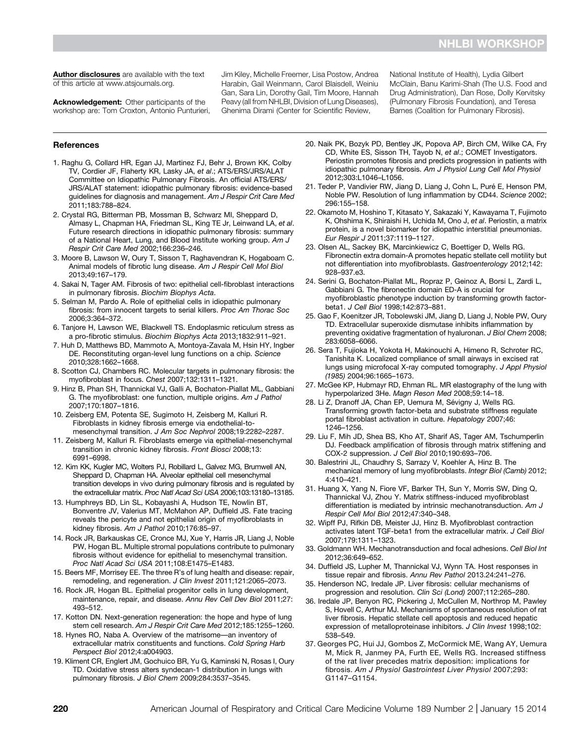[Author disclosures](http://www.atsjournals.org/doi/suppl/10.1164/rccm.201306-1141WS/suppl_file/disclosures.pdf) are available with the text of this article at [www.atsjournals.org.](http://www.atsjournals.org)

Acknowledgement: Other participants of the workshop are: Tom Croxton, Antonio Punturieri, Jim Kiley, Michelle Freemer, Lisa Postow, Andrea Harabin, Gail Weinmann, Carol Blaisdell, Weiniu Gan, Sara Lin, Dorothy Gail, Tim Moore, Hannah Peavy (all from NHLBI, Division of Lung Diseases), Ghenima Dirami (Center for Scientific Review,

National Institute of Health), Lydia Gilbert McClain, Banu Karimi-Shah (The U.S. Food and Drug Administration), Dan Rose, Dolly Kervitsky (Pulmonary Fibrosis Foundation), and Teresa Barnes (Coalition for Pulmonary Fibrosis).

#### References

- 1. Raghu G, Collard HR, Egan JJ, Martinez FJ, Behr J, Brown KK, Colby TV, Cordier JF, Flaherty KR, Lasky JA, et al.; ATS/ERS/JRS/ALAT Committee on Idiopathic Pulmonary Fibrosis. An official ATS/ERS/ JRS/ALAT statement: idiopathic pulmonary fibrosis: evidence-based guidelines for diagnosis and management. Am J Respir Crit Care Med 2011;183:788–824.
- 2. Crystal RG, Bitterman PB, Mossman B, Schwarz MI, Sheppard D, Almasy L, Chapman HA, Friedman SL, King TE Jr, Leinwand LA, et al. Future research directions in idiopathic pulmonary fibrosis: summary of a National Heart, Lung, and Blood Institute working group. Am J Respir Crit Care Med 2002;166:236–246.
- 3. Moore B, Lawson W, Oury T, Sisson T, Raghavendran K, Hogaboam C. Animal models of fibrotic lung disease. Am J Respir Cell Mol Biol 2013;49:167–179.
- 4. Sakai N, Tager AM. Fibrosis of two: epithelial cell-fibroblast interactions in pulmonary fibrosis. Biochim Biophys Acta.
- 5. Selman M, Pardo A. Role of epithelial cells in idiopathic pulmonary fibrosis: from innocent targets to serial killers. Proc Am Thorac Soc 2006;3:364–372.
- 6. Tanjore H, Lawson WE, Blackwell TS. Endoplasmic reticulum stress as a pro-fibrotic stimulus. Biochim Biophys Acta 2013;1832:911–921.
- 7. Huh D, Matthews BD, Mammoto A, Montoya-Zavala M, Hsin HY, Ingber DE. Reconstituting organ-level lung functions on a chip. Science 2010;328:1662–1668.
- 8. Scotton CJ, Chambers RC. Molecular targets in pulmonary fibrosis: the myofibroblast in focus. Chest 2007;132:1311–1321.
- 9. Hinz B, Phan SH, Thannickal VJ, Galli A, Bochaton-Piallat ML, Gabbiani G. The myofibroblast: one function, multiple origins. Am J Pathol 2007;170:1807–1816.
- 10. Zeisberg EM, Potenta SE, Sugimoto H, Zeisberg M, Kalluri R. Fibroblasts in kidney fibrosis emerge via endothelial-tomesenchymal transition. J Am Soc Nephrol 2008;19:2282–2287.
- 11. Zeisberg M, Kalluri R. Fibroblasts emerge via epithelial-mesenchymal transition in chronic kidney fibrosis. Front Biosci 2008;13: 6991–6998.
- 12. Kim KK, Kugler MC, Wolters PJ, Robillard L, Galvez MG, Brumwell AN, Sheppard D, Chapman HA. Alveolar epithelial cell mesenchymal transition develops in vivo during pulmonary fibrosis and is regulated by the extracellular matrix. Proc Natl Acad Sci USA 2006;103:13180–13185.
- 13. Humphreys BD, Lin SL, Kobayashi A, Hudson TE, Nowlin BT, Bonventre JV, Valerius MT, McMahon AP, Duffield JS. Fate tracing reveals the pericyte and not epithelial origin of myofibroblasts in kidney fibrosis. Am J Pathol 2010;176:85–97.
- 14. Rock JR, Barkauskas CE, Cronce MJ, Xue Y, Harris JR, Liang J, Noble PW, Hogan BL. Multiple stromal populations contribute to pulmonary fibrosis without evidence for epithelial to mesenchymal transition. Proc Natl Acad Sci USA 2011;108:E1475–E1483.
- 15. Beers MF, Morrisey EE. The three R's of lung health and disease: repair, remodeling, and regeneration. J Clin Invest 2011;121:2065–2073.
- 16. Rock JR, Hogan BL. Epithelial progenitor cells in lung development, maintenance, repair, and disease. Annu Rev Cell Dev Biol 2011;27: 493–512.
- 17. Kotton DN. Next-generation regeneration: the hope and hype of lung stem cell research. Am J Respir Crit Care Med 2012;185:1255–1260.
- 18. Hynes RO, Naba A. Overview of the matrisome—an inventory of extracellular matrix constituents and functions. Cold Spring Harb Perspect Biol 2012;4:a004903.
- 19. Kliment CR, Englert JM, Gochuico BR, Yu G, Kaminski N, Rosas I, Oury TD. Oxidative stress alters syndecan-1 distribution in lungs with pulmonary fibrosis. J Biol Chem 2009;284:3537–3545.
- 20. Naik PK, Bozyk PD, Bentley JK, Popova AP, Birch CM, Wilke CA, Fry CD, White ES, Sisson TH, Tayob N, et al.; COMET Investigators. Periostin promotes fibrosis and predicts progression in patients with idiopathic pulmonary fibrosis. Am J Physiol Lung Cell Mol Physiol 2012;303:L1046–L1056.
- 21. Teder P, Vandivier RW, Jiang D, Liang J, Cohn L, Puré E, Henson PM, Noble PW. Resolution of lung inflammation by CD44. Science 2002; 296:155–158.
- 22. Okamoto M, Hoshino T, Kitasato Y, Sakazaki Y, Kawayama T, Fujimoto K, Ohshima K, Shiraishi H, Uchida M, Ono J, et al. Periostin, a matrix protein, is a novel biomarker for idiopathic interstitial pneumonias. Eur Respir J 2011;37:1119–1127.
- 23. Olsen AL, Sackey BK, Marcinkiewicz C, Boettiger D, Wells RG. Fibronectin extra domain-A promotes hepatic stellate cell motility but not differentiation into myofibroblasts. Gastroenterology 2012;142: 928–937.e3.
- 24. Serini G, Bochaton-Piallat ML, Ropraz P, Geinoz A, Borsi L, Zardi L, Gabbiani G. The fibronectin domain ED-A is crucial for myofibroblastic phenotype induction by transforming growth factorbeta1. J Cell Biol 1998;142:873–881.
- 25. Gao F, Koenitzer JR, Tobolewski JM, Jiang D, Liang J, Noble PW, Oury TD. Extracellular superoxide dismutase inhibits inflammation by preventing oxidative fragmentation of hyaluronan. J Biol Chem 2008; 283:6058–6066.
- 26. Sera T, Fujioka H, Yokota H, Makinouchi A, Himeno R, Schroter RC, Tanishita K. Localized compliance of small airways in excised rat lungs using microfocal X-ray computed tomography. J Appl Physiol (1985) 2004;96:1665–1673.
- 27. McGee KP, Hubmayr RD, Ehman RL. MR elastography of the lung with hyperpolarized 3He. Magn Reson Med 2008;59:14–18.
- 28. Li Z. Dranoff JA, Chan EP, Uemura M, Sévigny J, Wells RG. Transforming growth factor-beta and substrate stiffness regulate portal fibroblast activation in culture. Hepatology 2007;46: 1246–1256.
- 29. Liu F, Mih JD, Shea BS, Kho AT, Sharif AS, Tager AM, Tschumperlin DJ. Feedback amplification of fibrosis through matrix stiffening and COX-2 suppression. J Cell Biol 2010;190:693–706.
- 30. Balestrini JL, Chaudhry S, Sarrazy V, Koehler A, Hinz B. The mechanical memory of lung myofibroblasts. Integr Biol (Camb) 2012; 4:410–421.
- 31. Huang X, Yang N, Fiore VF, Barker TH, Sun Y, Morris SW, Ding Q, Thannickal VJ, Zhou Y. Matrix stiffness-induced myofibroblast differentiation is mediated by intrinsic mechanotransduction. Am J Respir Cell Mol Biol 2012;47:340–348.
- 32. Wipff PJ, Rifkin DB, Meister JJ, Hinz B. Myofibroblast contraction activates latent TGF-beta1 from the extracellular matrix. J Cell Biol 2007;179:1311–1323.
- 33. Goldmann WH. Mechanotransduction and focal adhesions. Cell Biol Int 2012;36:649–652.
- 34. Duffield JS, Lupher M, Thannickal VJ, Wynn TA. Host responses in tissue repair and fibrosis. Annu Rev Pathol 2013.24:241–276.
- 35. Henderson NC, Iredale JP. Liver fibrosis: cellular mechanisms of progression and resolution. Clin Sci (Lond) 2007;112:265–280.
- 36. Iredale JP, Benyon RC, Pickering J, McCullen M, Northrop M, Pawley S, Hovell C, Arthur MJ. Mechanisms of spontaneous resolution of rat liver fibrosis. Hepatic stellate cell apoptosis and reduced hepatic expression of metalloproteinase inhibitors. J Clin Invest 1998;102: 538–549.
- 37. Georges PC, Hui JJ, Gombos Z, McCormick ME, Wang AY, Uemura M, Mick R, Janmey PA, Furth EE, Wells RG. Increased stiffness of the rat liver precedes matrix deposition: implications for fibrosis. Am J Physiol Gastrointest Liver Physiol 2007;293: G1147–G1154.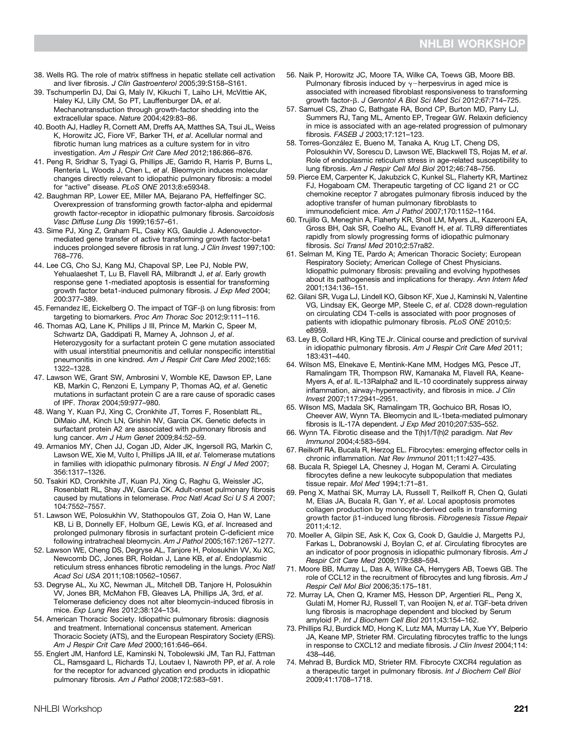- 38. Wells RG. The role of matrix stiffness in hepatic stellate cell activation and liver fibrosis. J Clin Gastroenterol 2005;39:S158–S161.
- 39. Tschumperlin DJ, Dai G, Maly IV, Kikuchi T, Laiho LH, McVittie AK, Haley KJ, Lilly CM, So PT, Lauffenburger DA, et al. Mechanotransduction through growth-factor shedding into the extracellular space. Nature 2004;429:83–86.
- 40. Booth AJ, Hadley R, Cornett AM, Dreffs AA, Matthes SA, Tsui JL, Weiss K, Horowitz JC, Fiore VF, Barker TH, et al. Acellular normal and fibrotic human lung matrices as a culture system for in vitro investigation. Am J Respir Crit Care Med 2012;186:866–876.
- 41. Peng R, Sridhar S, Tyagi G, Phillips JE, Garrido R, Harris P, Burns L, Renteria L, Woods J, Chen L, et al. Bleomycin induces molecular changes directly relevant to idiopathic pulmonary fibrosis: a model for "active" disease. PLoS ONE 2013;8:e59348.
- 42. Baughman RP, Lower EE, Miller MA, Bejarano PA, Heffelfinger SC. Overexpression of transforming growth factor-alpha and epidermal growth factor-receptor in idiopathic pulmonary fibrosis. Sarcoidosis Vasc Diffuse Lung Dis 1999;16:57–61.
- 43. Sime PJ, Xing Z, Graham FL, Csaky KG, Gauldie J. Adenovectormediated gene transfer of active transforming growth factor-beta1 induces prolonged severe fibrosis in rat lung. J Clin Invest 1997;100: 768–776.
- 44. Lee CG, Cho SJ, Kang MJ, Chapoval SP, Lee PJ, Noble PW, Yehualaeshet T, Lu B, Flavell RA, Milbrandt J, et al. Early growth response gene 1-mediated apoptosis is essential for transforming growth factor beta1-induced pulmonary fibrosis. J Exp Med 2004; 200:377–389.
- 45. Fernandez IE, Eickelberg O. The impact of TGF-B on lung fibrosis: from targeting to biomarkers. Proc Am Thorac Soc 2012;9:111–116.
- 46. Thomas AQ, Lane K, Phillips J III, Prince M, Markin C, Speer M, Schwartz DA, Gaddipati R, Marney A, Johnson J, et al. Heterozygosity for a surfactant protein C gene mutation associated with usual interstitial pneumonitis and cellular nonspecific interstitial pneumonitis in one kindred. Am J Respir Crit Care Med 2002;165: 1322–1328.
- 47. Lawson WE, Grant SW, Ambrosini V, Womble KE, Dawson EP, Lane KB, Markin C, Renzoni E, Lympany P, Thomas AQ, et al. Genetic mutations in surfactant protein C are a rare cause of sporadic cases of IPF. Thorax 2004;59:977–980.
- 48. Wang Y, Kuan PJ, Xing C, Cronkhite JT, Torres F, Rosenblatt RL, DiMaio JM, Kinch LN, Grishin NV, Garcia CK. Genetic defects in surfactant protein A2 are associated with pulmonary fibrosis and lung cancer. Am J Hum Genet 2009;84:52–59.
- 49. Armanios MY, Chen JJ, Cogan JD, Alder JK, Ingersoll RG, Markin C, Lawson WE, Xie M, Vulto I, Phillips JA III, et al. Telomerase mutations in families with idiopathic pulmonary fibrosis. N Engl J Med 2007; 356:1317–1326.
- 50. Tsakiri KD, Cronkhite JT, Kuan PJ, Xing C, Raghu G, Weissler JC, Rosenblatt RL, Shay JW, Garcia CK. Adult-onset pulmonary fibrosis caused by mutations in telomerase. Proc Natl Acad Sci U S A 2007; 104:7552–7557.
- 51. Lawson WE, Polosukhin VV, Stathopoulos GT, Zoia O, Han W, Lane KB, Li B, Donnelly EF, Holburn GE, Lewis KG, et al. Increased and prolonged pulmonary fibrosis in surfactant protein C-deficient mice following intratracheal bleomycin. Am J Pathol 2005;167:1267–1277.
- 52. Lawson WE, Cheng DS, Degryse AL, Tanjore H, Polosukhin VV, Xu XC, Newcomb DC, Jones BR, Roldan J, Lane KB, et al. Endoplasmic reticulum stress enhances fibrotic remodeling in the lungs. Proc Natl Acad Sci USA 2011;108:10562–10567.
- 53. Degryse AL, Xu XC, Newman JL, Mitchell DB, Tanjore H, Polosukhin VV, Jones BR, McMahon FB, Gleaves LA, Phillips JA, 3rd, et al. Telomerase deficiency does not alter bleomycin-induced fibrosis in mice. Exp Lung Res 2012;38:124–134.
- 54. American Thoracic Society. Idiopathic pulmonary fibrosis: diagnosis and treatment. International concensus statement. American Thoracic Society (ATS), and the European Respiratory Society (ERS). Am J Respir Crit Care Med 2000;161:646–664.
- 55. Englert JM, Hanford LE, Kaminski N, Tobolewski JM, Tan RJ, Fattman CL, Ramsgaard L, Richards TJ, Loutaev I, Nawroth PP, et al. A role for the receptor for advanced glycation end products in idiopathic pulmonary fibrosis. Am J Pathol 2008;172:583–591.
- 56. Naik P, Horowitz JC, Moore TA, Wilke CA, Toews GB, Moore BB. Pulmonary fibrosis induced by  $\gamma$ -herpesvirus in aged mice is associated with increased fibroblast responsiveness to transforming growth factor-b. J Gerontol A Biol Sci Med Sci 2012;67:714–725.
- 57. Samuel CS, Zhao C, Bathgate RA, Bond CP, Burton MD, Parry LJ, Summers RJ, Tang ML, Amento EP, Tregear GW. Relaxin deficiency in mice is associated with an age-related progression of pulmonary fibrosis. FASEB J 2003;17:121–123.
- 58. Torres-González E, Bueno M, Tanaka A, Krug LT, Cheng DS, Polosukhin VV, Sorescu D, Lawson WE, Blackwell TS, Rojas M, et al. Role of endoplasmic reticulum stress in age-related susceptibility to lung fibrosis. Am J Respir Cell Mol Biol 2012;46:748–756.
- 59. Pierce EM, Carpenter K, Jakubzick C, Kunkel SL, Flaherty KR, Martinez FJ, Hogaboam CM. Therapeutic targeting of CC ligand 21 or CC chemokine receptor 7 abrogates pulmonary fibrosis induced by the adoptive transfer of human pulmonary fibroblasts to immunodeficient mice. Am J Pathol 2007;170:1152–1164.
- 60. Trujillo G, Meneghin A, Flaherty KR, Sholl LM, Myers JL, Kazerooni EA, Gross BH, Oak SR, Coelho AL, Evanoff H, et al. TLR9 differentiates rapidly from slowly progressing forms of idiopathic pulmonary fibrosis. Sci Transl Med 2010;2:57ra82.
- 61. Selman M, King TE, Pardo A; American Thoracic Society; European Respiratory Society; American College of Chest Physicians. Idiopathic pulmonary fibrosis: prevailing and evolving hypotheses about its pathogenesis and implications for therapy. Ann Intern Med 2001;134:136–151.
- 62. Gilani SR, Vuga LJ, Lindell KO, Gibson KF, Xue J, Kaminski N, Valentine VG, Lindsay EK, George MP, Steele C, et al. CD28 down-regulation on circulating CD4 T-cells is associated with poor prognoses of patients with idiopathic pulmonary fibrosis. PLoS ONE 2010;5: e8959.
- 63. Ley B, Collard HR, King TE Jr. Clinical course and prediction of survival in idiopathic pulmonary fibrosis. Am J Respir Crit Care Med 2011; 183:431–440.
- 64. Wilson MS, Elnekave E, Mentink-Kane MM, Hodges MG, Pesce JT, Ramalingam TR, Thompson RW, Kamanaka M, Flavell RA, Keane-Myers A, et al. IL-13Ralpha2 and IL-10 coordinately suppress airway inflammation, airway-hyperreactivity, and fibrosis in mice. J Clin Invest 2007;117:2941–2951.
- 65. Wilson MS, Madala SK, Ramalingam TR, Gochuico BR, Rosas IO, Cheever AW, Wynn TA. Bleomycin and IL-1beta-mediated pulmonary fibrosis is IL-17A dependent. J Exp Med 2010;207:535-552.
- 66. Wynn TA. Fibrotic disease and the T(h)1/T(h)2 paradigm. Nat Rev Immunol 2004;4:583–594.
- 67. Reilkoff RA, Bucala R, Herzog EL. Fibrocytes: emerging effector cells in chronic inflammation. Nat Rev Immunol 2011;11:427–435.
- 68. Bucala R, Spiegel LA, Chesney J, Hogan M, Cerami A. Circulating fibrocytes define a new leukocyte subpopulation that mediates tissue repair. Mol Med 1994;1:71–81.
- 69. Peng X, Mathai SK, Murray LA, Russell T, Reilkoff R, Chen Q, Gulati M, Elias JA, Bucala R, Gan Y, et al. Local apoptosis promotes collagen production by monocyte-derived cells in transforming growth factor  $\beta$ 1-induced lung fibrosis. Fibrogenesis Tissue Repair 2011;4:12.
- 70. Moeller A, Gilpin SE, Ask K, Cox G, Cook D, Gauldie J, Margetts PJ, Farkas L, Dobranowski J, Boylan C, et al. Circulating fibrocytes are an indicator of poor prognosis in idiopathic pulmonary fibrosis. Am J Respir Crit Care Med 2009;179:588–594.
- 71. Moore BB, Murray L, Das A, Wilke CA, Herrygers AB, Toews GB. The role of CCL12 in the recruitment of fibrocytes and lung fibrosis. Am J Respir Cell Mol Biol 2006;35:175–181.
- 72. Murray LA, Chen Q, Kramer MS, Hesson DP, Argentieri RL, Peng X, Gulati M, Homer RJ, Russell T, van Rooijen N, et al. TGF-beta driven lung fibrosis is macrophage dependent and blocked by Serum amyloid P. Int J Biochem Cell Biol 2011;43:154–162.
- 73. Phillips RJ, Burdick MD, Hong K, Lutz MA, Murray LA, Xue YY, Belperio JA, Keane MP, Strieter RM. Circulating fibrocytes traffic to the lungs in response to CXCL12 and mediate fibrosis. J Clin Invest 2004;114: 438–446.
- 74. Mehrad B, Burdick MD, Strieter RM. Fibrocyte CXCR4 regulation as a therapeutic target in pulmonary fibrosis. Int J Biochem Cell Biol 2009;41:1708–1718.